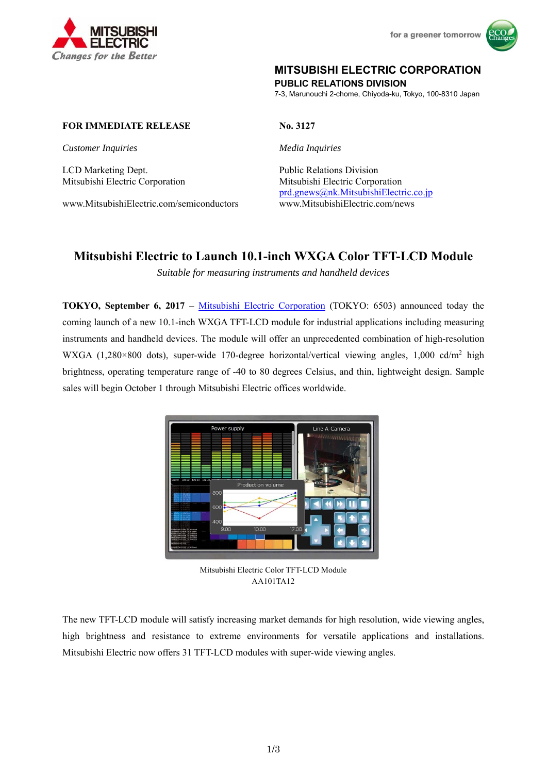



# **MITSUBISHI ELECTRIC CORPORATION**

**PUBLIC RELATIONS DIVISION** 

7-3, Marunouchi 2-chome, Chiyoda-ku, Tokyo, 100-8310 Japan

## **FOR IMMEDIATE RELEASE No. 3127**

*Customer Inquiries Media Inquiries*

LCD Marketing Dept. Public Relations Division

www.MitsubishiElectric.com/semiconductors www.MitsubishiElectric.com/news

Mitsubishi Electric Corporation Mitsubishi Electric Corporation prd.gnews@nk.MitsubishiElectric.co.jp

# **Mitsubishi Electric to Launch 10.1-inch WXGA Color TFT-LCD Module**

*Suitable for measuring instruments and handheld devices* 

**TOKYO, September 6, 2017** – Mitsubishi Electric Corporation (TOKYO: 6503) announced today the coming launch of a new 10.1-inch WXGA TFT-LCD module for industrial applications including measuring instruments and handheld devices. The module will offer an unprecedented combination of high-resolution WXGA (1,280×800 dots), super-wide 170-degree horizontal/vertical viewing angles, 1,000 cd/m<sup>2</sup> high brightness, operating temperature range of -40 to 80 degrees Celsius, and thin, lightweight design. Sample sales will begin October 1 through Mitsubishi Electric offices worldwide.



Mitsubishi Electric Color TFT-LCD Module AA101TA12

The new TFT-LCD module will satisfy increasing market demands for high resolution, wide viewing angles, high brightness and resistance to extreme environments for versatile applications and installations. Mitsubishi Electric now offers 31 TFT-LCD modules with super-wide viewing angles.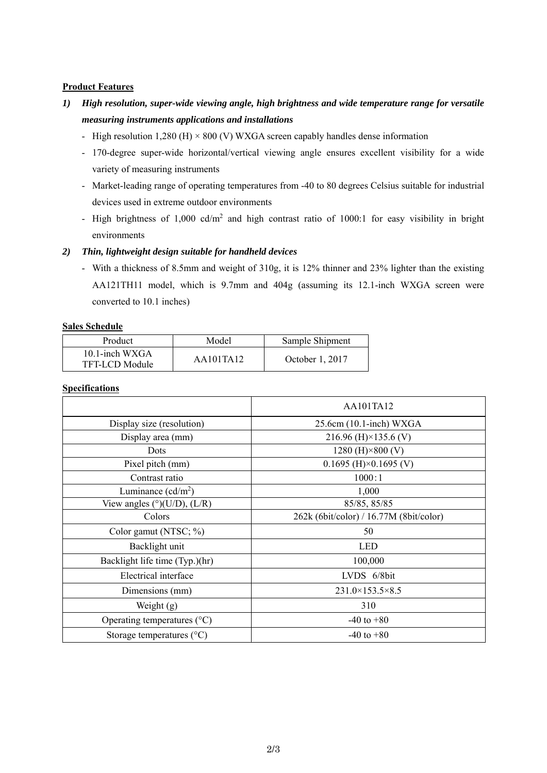## **Product Features**

- *1) High resolution, super-wide viewing angle, high brightness and wide temperature range for versatile measuring instruments applications and installations* 
	- High resolution 1,280 (H)  $\times$  800 (V) WXGA screen capably handles dense information
	- 170-degree super-wide horizontal/vertical viewing angle ensures excellent visibility for a wide variety of measuring instruments
	- Market-leading range of operating temperatures from -40 to 80 degrees Celsius suitable for industrial devices used in extreme outdoor environments
	- High brightness of 1,000  $cd/m^2$  and high contrast ratio of 1000:1 for easy visibility in bright environments

# *2) Thin, lightweight design suitable for handheld devices*

- With a thickness of 8.5mm and weight of 310g, it is 12% thinner and 23% lighter than the existing AA121TH11 model, which is 9.7mm and 404g (assuming its 12.1-inch WXGA screen were converted to 10.1 inches)

## **Sales Schedule**

| Product                             | Model                         | Sample Shipment |  |
|-------------------------------------|-------------------------------|-----------------|--|
| $10.1$ -inch WXGA<br>TFT-LCD Module | $A$ $A$ $10$ $1$ $T$ $A$ $12$ | October 1, 2017 |  |

#### **Specifications**

|                                                | AA101TA12                               |  |  |
|------------------------------------------------|-----------------------------------------|--|--|
| Display size (resolution)                      | $25.6cm(10.1\text{-inch})$ WXGA         |  |  |
| Display area (mm)                              | 216.96 (H) $\times$ 135.6 (V)           |  |  |
| Dots                                           | 1280 (H) $\times$ 800 (V)               |  |  |
| Pixel pitch (mm)                               | $0.1695$ (H) $\times$ 0.1695 (V)        |  |  |
| Contrast ratio                                 | 1000:1                                  |  |  |
| Luminance $(cd/m^2)$                           | 1,000                                   |  |  |
| View angles ( $\degree$ )(U/D), (L/R)          | 85/85, 85/85                            |  |  |
| Colors                                         | 262k (6bit/color) / 16.77M (8bit/color) |  |  |
| Color gamut (NTSC; %)                          | 50                                      |  |  |
| Backlight unit                                 | <b>LED</b>                              |  |  |
| Backlight life time (Typ.)(hr)                 | 100,000                                 |  |  |
| Electrical interface                           | LVDS 6/8bit                             |  |  |
| $231.0\times153.5\times8.5$<br>Dimensions (mm) |                                         |  |  |
| Weight $(g)$                                   | 310                                     |  |  |
| Operating temperatures $({}^{\circ}C)$         | $-40$ to $+80$                          |  |  |
| Storage temperatures $(^{\circ}C)$             | $-40$ to $+80$                          |  |  |